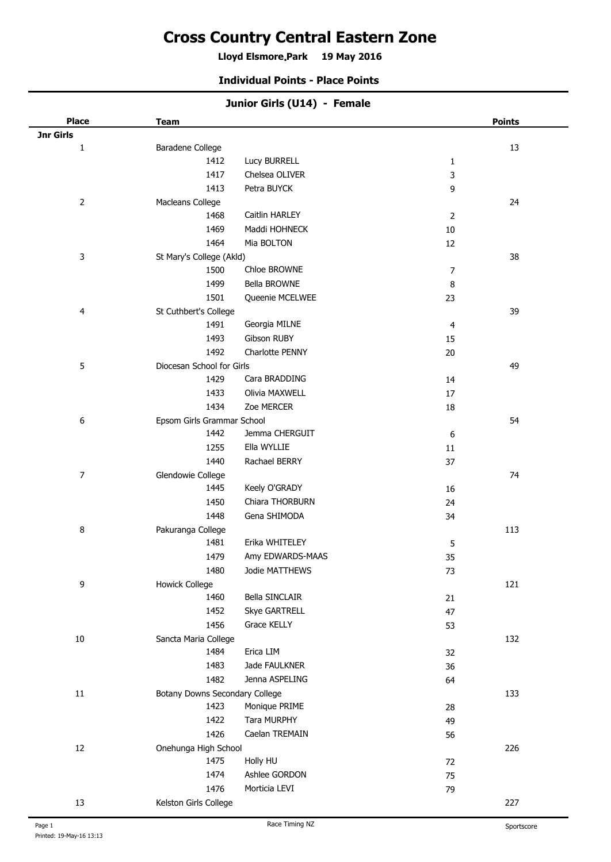# **Cross Country Central Eastern Zone**

**Lloyd Elsmore Park 19 May 2016 .**

#### **Individual Points - Place Points**

| <b>Place</b>     | <b>Team</b>                    |                      |                | <b>Points</b> |
|------------------|--------------------------------|----------------------|----------------|---------------|
| <b>Jnr Girls</b> |                                |                      |                |               |
| $\mathbf{1}$     | Baradene College               |                      |                | $13\,$        |
|                  | 1412                           | Lucy BURRELL         | 1              |               |
|                  | 1417                           | Chelsea OLIVER       | 3              |               |
|                  | 1413                           | Petra BUYCK          | 9              |               |
| $\overline{2}$   | Macleans College               |                      |                | 24            |
|                  | 1468                           | Caitlin HARLEY       | $\overline{2}$ |               |
|                  | 1469                           | Maddi HOHNECK        | $10\,$         |               |
|                  | 1464                           | Mia BOLTON           | 12             |               |
| 3                | St Mary's College (Akld)       |                      |                | 38            |
|                  | 1500                           | Chloe BROWNE         | 7              |               |
|                  | 1499                           | Bella BROWNE         | 8              |               |
|                  | 1501                           | Queenie MCELWEE      | 23             |               |
| 4                | St Cuthbert's College          |                      |                | 39            |
|                  | 1491                           | Georgia MILNE        | 4              |               |
|                  | 1493                           | Gibson RUBY          | 15             |               |
|                  | 1492                           | Charlotte PENNY      | 20             |               |
| 5                | Diocesan School for Girls      |                      |                | 49            |
|                  | 1429                           | Cara BRADDING        | 14             |               |
|                  | 1433                           | Olivia MAXWELL       | $17\,$         |               |
|                  | 1434                           | Zoe MERCER           | 18             |               |
| 6                | Epsom Girls Grammar School     |                      |                | 54            |
|                  | 1442                           | Jemma CHERGUIT       | 6              |               |
|                  | 1255                           | Ella WYLLIE          | 11             |               |
|                  | 1440                           | Rachael BERRY        | 37             |               |
| $\boldsymbol{7}$ | Glendowie College              |                      |                | 74            |
|                  | 1445                           | Keely O'GRADY        | 16             |               |
|                  | 1450                           | Chiara THORBURN      | 24             |               |
|                  | 1448                           | Gena SHIMODA         | 34             |               |
| 8                | Pakuranga College              |                      |                | 113           |
|                  | 1481                           | Erika WHITELEY       | 5              |               |
|                  | 1479                           | Amy EDWARDS-MAAS     | 35             |               |
|                  | 1480                           | Jodie MATTHEWS       | 73             |               |
| 9                | <b>Howick College</b>          |                      |                | 121           |
|                  | 1460                           | Bella SINCLAIR       | 21             |               |
|                  | 1452                           | <b>Skye GARTRELL</b> | 47             |               |
|                  | 1456                           | Grace KELLY          | 53             |               |
| $10\,$           | Sancta Maria College           |                      |                | 132           |
|                  | 1484                           | Erica LIM            | 32             |               |
|                  | 1483                           | Jade FAULKNER        | 36             |               |
|                  | 1482                           | Jenna ASPELING       | 64             |               |
| $11\,$           | Botany Downs Secondary College |                      |                | 133           |
|                  | 1423                           | Monique PRIME        | 28             |               |
|                  | 1422                           | <b>Tara MURPHY</b>   | 49             |               |
|                  | 1426                           | Caelan TREMAIN       | 56             |               |
| 12               | Onehunga High School           |                      |                | 226           |
|                  | 1475                           | Holly HU             | 72             |               |
|                  | 1474                           | Ashlee GORDON        | 75             |               |
|                  | 1476                           | Morticia LEVI        | 79             |               |
| 13               | Kelston Girls College          |                      |                | 227           |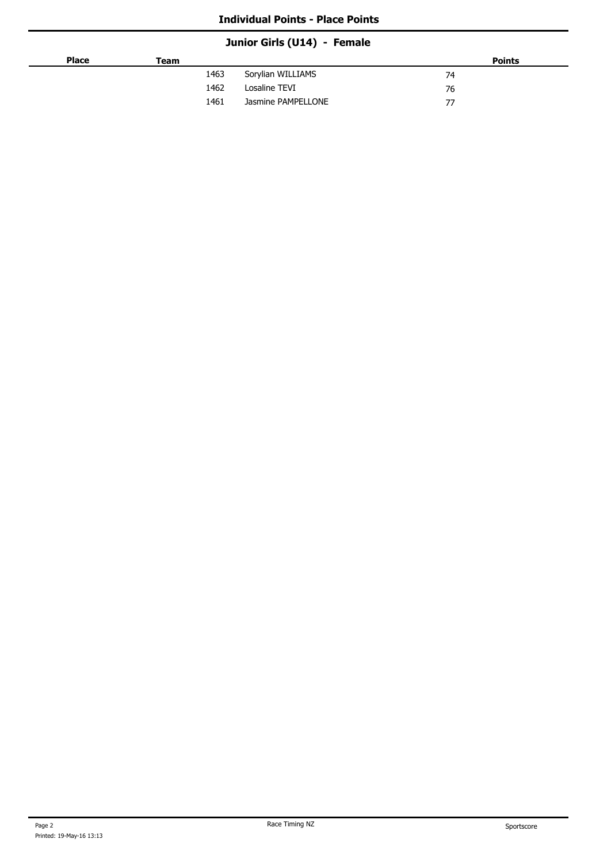## **Junior Girls (U14) - Female**

| <b>Place</b> | Team |                    | <b>Points</b> |
|--------------|------|--------------------|---------------|
|              | 1463 | Sorylian WILLIAMS  | 74            |
|              | 1462 | Losaline TEVI      | 76            |
|              | 1461 | Jasmine PAMPELLONE | 77            |
|              |      |                    |               |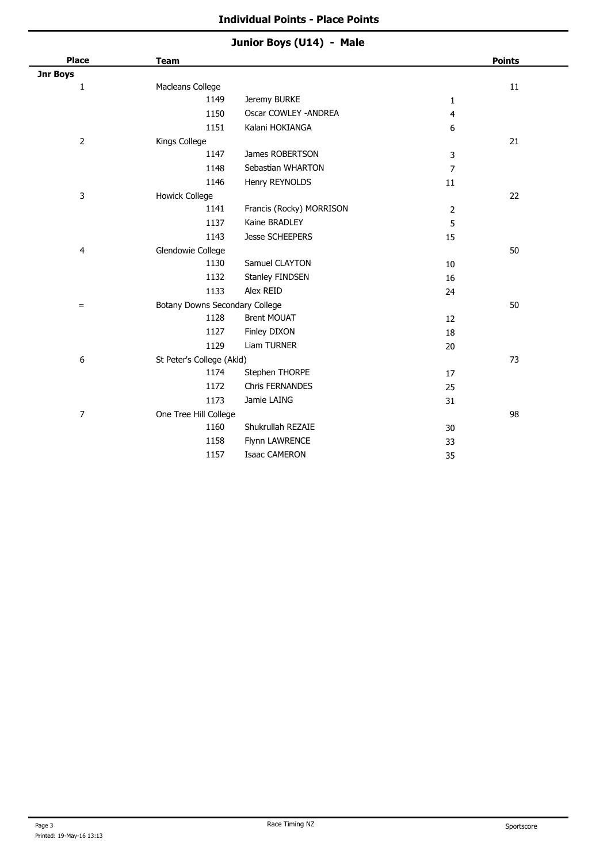## **Junior Boys (U14) - Male**

| <b>Place</b>   | <b>Team</b>                    |                          |                | <b>Points</b> |
|----------------|--------------------------------|--------------------------|----------------|---------------|
| Jnr Boys       |                                |                          |                |               |
| 1              | Macleans College               |                          |                | $11\,$        |
|                | 1149                           | Jeremy BURKE             | $\mathbf{1}$   |               |
|                | 1150                           | Oscar COWLEY - ANDREA    | 4              |               |
|                | 1151                           | Kalani HOKIANGA          | 6              |               |
| $\overline{2}$ | Kings College                  |                          |                | 21            |
|                | 1147                           | James ROBERTSON          | 3              |               |
|                | 1148                           | Sebastian WHARTON        | $\overline{7}$ |               |
|                | 1146                           | Henry REYNOLDS           | 11             |               |
| 3              | <b>Howick College</b>          |                          |                | 22            |
|                | 1141                           | Francis (Rocky) MORRISON | 2              |               |
|                | 1137                           | Kaine BRADLEY            | 5              |               |
|                | 1143                           | <b>Jesse SCHEEPERS</b>   | 15             |               |
| 4              | Glendowie College              |                          |                | 50            |
|                | 1130                           | Samuel CLAYTON           | 10             |               |
|                | 1132                           | Stanley FINDSEN          | 16             |               |
|                | 1133                           | Alex REID                | 24             |               |
| $=$            | Botany Downs Secondary College |                          |                | 50            |
|                | 1128                           | <b>Brent MOUAT</b>       | 12             |               |
|                | 1127                           | Finley DIXON             | 18             |               |
|                | 1129                           | <b>Liam TURNER</b>       | 20             |               |
| 6              | St Peter's College (Akld)      |                          |                | 73            |
|                | 1174                           | Stephen THORPE           | 17             |               |
|                | 1172                           | <b>Chris FERNANDES</b>   | 25             |               |
|                | 1173                           | Jamie LAING              | 31             |               |
| $\overline{7}$ | One Tree Hill College          |                          |                | 98            |
|                | 1160                           | Shukrullah REZAIE        | 30             |               |
|                | 1158                           | Flynn LAWRENCE           | 33             |               |
|                | 1157                           | <b>Isaac CAMERON</b>     | 35             |               |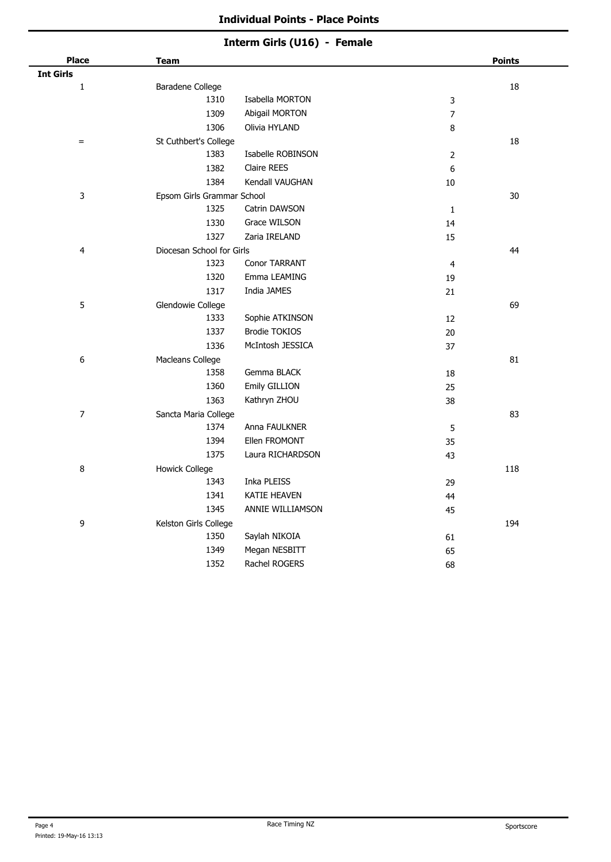## **Interm Girls (U16) - Female**

| <b>Place</b>     | <b>Team</b>                |                      |                | <b>Points</b> |
|------------------|----------------------------|----------------------|----------------|---------------|
| <b>Int Girls</b> |                            |                      |                |               |
| $\mathbf{1}$     | Baradene College           |                      |                | 18            |
|                  | 1310                       | Isabella MORTON      | 3              |               |
|                  | 1309                       | Abigail MORTON       | $\overline{7}$ |               |
|                  | 1306                       | Olivia HYLAND        | 8              |               |
| $=$              | St Cuthbert's College      |                      |                | 18            |
|                  | 1383                       | Isabelle ROBINSON    | $\mathbf 2$    |               |
|                  | 1382                       | <b>Claire REES</b>   | 6              |               |
|                  | 1384                       | Kendall VAUGHAN      | 10             |               |
| 3                | Epsom Girls Grammar School |                      |                | $30\,$        |
|                  | 1325                       | Catrin DAWSON        | $\mathbf 1$    |               |
|                  | 1330                       | Grace WILSON         | 14             |               |
|                  | 1327                       | Zaria IRELAND        | 15             |               |
| 4                | Diocesan School for Girls  |                      |                | 44            |
|                  | 1323                       | Conor TARRANT        | $\overline{4}$ |               |
|                  | 1320                       | Emma LEAMING         | 19             |               |
|                  | 1317                       | India JAMES          | 21             |               |
| 5                | Glendowie College          |                      |                | 69            |
|                  | 1333                       | Sophie ATKINSON      | 12             |               |
|                  | 1337                       | <b>Brodie TOKIOS</b> | 20             |               |
|                  | 1336                       | McIntosh JESSICA     | 37             |               |
| 6                | Macleans College           |                      |                | 81            |
|                  | 1358                       | Gemma BLACK          | 18             |               |
|                  | 1360                       | Emily GILLION        | 25             |               |
|                  | 1363                       | Kathryn ZHOU         | 38             |               |
| $\overline{7}$   | Sancta Maria College       |                      |                | 83            |
|                  | 1374                       | Anna FAULKNER        | 5              |               |
|                  | 1394                       | Ellen FROMONT        | 35             |               |
|                  | 1375                       | Laura RICHARDSON     | 43             |               |
| 8                | <b>Howick College</b>      |                      |                | 118           |
|                  | 1343                       | Inka PLEISS          | 29             |               |
|                  | 1341                       | KATIE HEAVEN         | 44             |               |
|                  | 1345                       | ANNIE WILLIAMSON     | 45             |               |
| 9                | Kelston Girls College      |                      |                | 194           |
|                  | 1350                       | Saylah NIKOIA        | 61             |               |
|                  | 1349                       | Megan NESBITT        | 65             |               |
|                  | 1352                       | Rachel ROGERS        | 68             |               |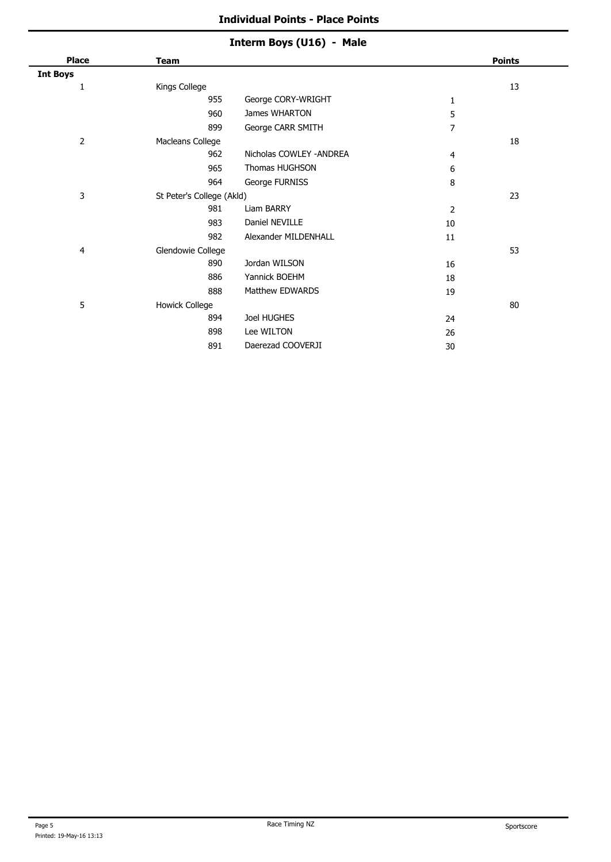## **Interm Boys (U16) - Male**

| <b>Place</b>    | <b>Team</b>               |                          |                | <b>Points</b> |
|-----------------|---------------------------|--------------------------|----------------|---------------|
| <b>Int Boys</b> |                           |                          |                |               |
| 1               | Kings College             |                          |                | 13            |
|                 | 955                       | George CORY-WRIGHT       | 1              |               |
|                 | 960                       | James WHARTON            | 5              |               |
|                 | 899                       | George CARR SMITH        | 7              |               |
| 2               | Macleans College          |                          |                | 18            |
|                 | 962                       | Nicholas COWLEY - ANDREA | 4              |               |
|                 | 965                       | Thomas HUGHSON           | 6              |               |
|                 | 964                       | George FURNISS           | 8              |               |
| 3               | St Peter's College (Akld) |                          |                | 23            |
|                 | 981                       | Liam BARRY               | $\overline{2}$ |               |
|                 | 983                       | Daniel NEVILLE           | 10             |               |
|                 | 982                       | Alexander MILDENHALL     | 11             |               |
| 4               | Glendowie College         |                          |                | 53            |
|                 | 890                       | Jordan WILSON            | 16             |               |
|                 | 886                       | Yannick BOEHM            | 18             |               |
|                 | 888                       | Matthew EDWARDS          | 19             |               |
| 5               | <b>Howick College</b>     |                          |                | 80            |
|                 | 894                       | Joel HUGHES              | 24             |               |
|                 | 898                       | Lee WILTON               | 26             |               |
|                 | 891                       | Daerezad COOVERJI        | 30             |               |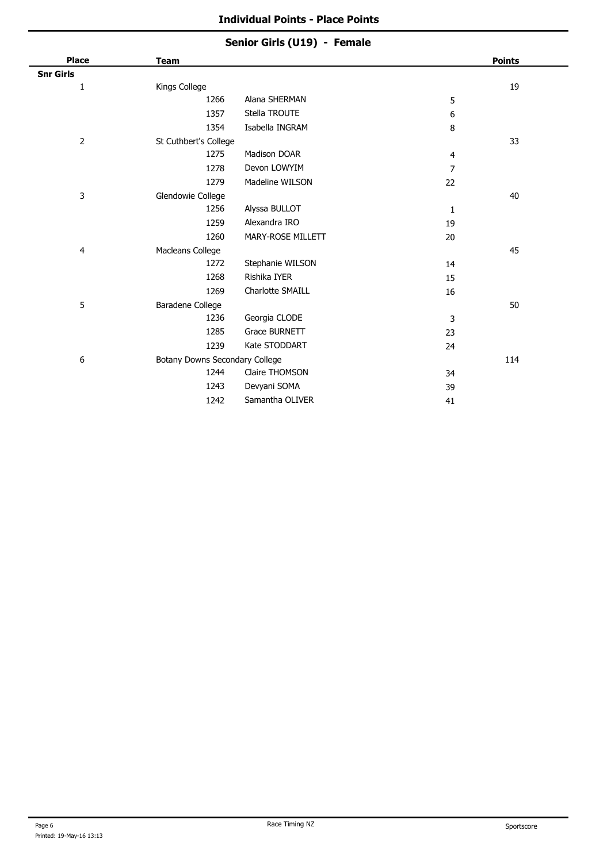## **Senior Girls (U19) - Female**

| <b>Place</b>     | <b>Team</b>                    |                   |                | <b>Points</b> |
|------------------|--------------------------------|-------------------|----------------|---------------|
| <b>Snr Girls</b> |                                |                   |                |               |
| 1                | Kings College                  |                   |                | 19            |
|                  | 1266                           | Alana SHERMAN     | 5              |               |
|                  | 1357                           | Stella TROUTE     | 6              |               |
|                  | 1354                           | Isabella INGRAM   | 8              |               |
| $\overline{2}$   | St Cuthbert's College          |                   |                | 33            |
|                  | 1275                           | Madison DOAR      | 4              |               |
|                  | 1278                           | Devon LOWYIM      | $\overline{7}$ |               |
|                  | 1279                           | Madeline WILSON   | 22             |               |
| 3                | Glendowie College              |                   |                | 40            |
|                  | 1256                           | Alyssa BULLOT     | 1              |               |
|                  | 1259                           | Alexandra IRO     | 19             |               |
|                  | 1260                           | MARY-ROSE MILLETT | 20             |               |
| 4                | Macleans College               |                   |                | 45            |
|                  | 1272                           | Stephanie WILSON  | 14             |               |
|                  | 1268                           | Rishika IYER      | 15             |               |
|                  | 1269                           | Charlotte SMAILL  | 16             |               |
| 5                | Baradene College               |                   |                | 50            |
|                  | 1236                           | Georgia CLODE     | 3              |               |
|                  | 1285                           | Grace BURNETT     | 23             |               |
|                  | 1239                           | Kate STODDART     | 24             |               |
| 6                | Botany Downs Secondary College |                   |                | 114           |
|                  | 1244                           | Claire THOMSON    | 34             |               |
|                  | 1243                           | Devyani SOMA      | 39             |               |
|                  | 1242                           | Samantha OLIVER   | 41             |               |
|                  |                                |                   |                |               |